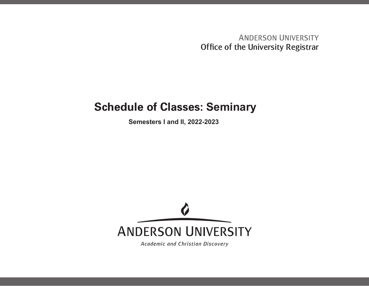**ANDERSON UNIVERSITY** Office of the University Registrar

## **Schedule of Classes: Seminary**

**Semesters I and II, 2022-2023**



Academic and Christian Discovery